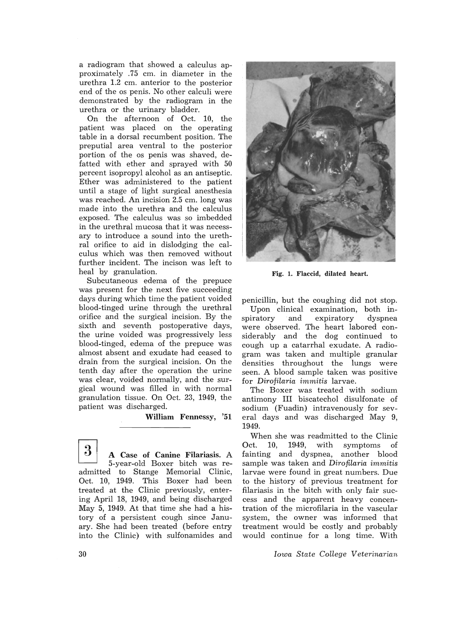a radiogram that showed a calculus approximately .75 cm. in diameter in the urethra 1.2 cm. anterior to the posterior end of the os penis. No other calculi were demonstrated by the radiogram in the urethra or the urinary bladder.

On the afternoon of Oct. 10, the patient was placed on the operating table in a dorsal recumbent position. The preputial area ventral to the posterior portion of the os penis was shaved, defatted with ether and sprayed with 50 percent isopropyl alcohol as an antiseptic. Ether was administered to the patient until a stage of light surgical anesthesia was reached. An incision 2.5 cm. long was made into the urethra and the calculus exposed. The calculus was so imbedded in the urethral mucosa that it was necessary to introduce a sound into the urethral orifice to aid in dislodging the calculus which was then removed without further incident. The incison was left to heal by granulation.

Subcutaneous edema of the prepuce was present for the next five succeeding days during which time the patient voided blood-tinged urine through the urethral orifice and the surgical incision. By the sixth and seventh postoperative days, the urine voided was progressively less blood-tinged, edema of the prepuce was almost absent and exudate had ceased to drain from the surgical incision. On the tenth day after the operation the urine was clear, voided normally, and the surgical wound was filled in with normal granulation tissue. On Oct. 23, 1949, the patient was discharged.

William Fennessy, '51

3 A Case of Canine Filariasis. A 5-year-old Boxer bitch was readmitted to Stange Memorial Clinic, Oct. 10, 1949. This Boxer had been treated at the Clinic previously, entering April 18, 1949, and being discharged May 5, 1949. At that time she had a history of a persistent cough since January. She had been treated (before entry into the Clinic) with sulfonamides and



Fig. 1. Flaccid, dilated heart.

penicillin, but the coughing did not stop. Upon clinical examination, both inspiratory and expiratory dyspnea were observed. The heart labored considerably and the dog continued to cough up a catarrhal exudate. A radiogram was taken and multiple granular densities throughout the lungs were seen. A blood sample taken was positive for *Dirofilaria immitis* larvae.

The Boxer was treated with sodium antimony III biscatechol disulfonate of sodium (Fuadin) intravenously for several days and was discharged May 9, 1949.

When she was readmitted to the Clinic Oct. 10, 1949, with symptoms of fainting and dyspnea, another blood sample was taken and *Dirofilaria immitis*  larvae were found in great numbers. Due to the history of previous treatment for filariasis in the bitch with only fair success and the apparent heavy concentration of the microfilaria in the vascular system, the owner was informed that treatment would be costly and probably would continue for a long time. With

*Iowa State College Veterinarian*